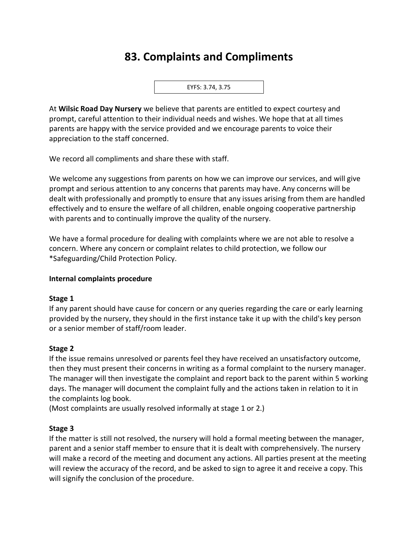# **83. Complaints and Compliments**

EYFS: 3.74, 3.75

At **Wilsic Road Day Nursery** we believe that parents are entitled to expect courtesy and prompt, careful attention to their individual needs and wishes. We hope that at all times parents are happy with the service provided and we encourage parents to voice their appreciation to the staff concerned.

We record all compliments and share these with staff.

We welcome any suggestions from parents on how we can improve our services, and will give prompt and serious attention to any concerns that parents may have. Any concerns will be dealt with professionally and promptly to ensure that any issues arising from them are handled effectively and to ensure the welfare of all children, enable ongoing cooperative partnership with parents and to continually improve the quality of the nursery.

We have a formal procedure for dealing with complaints where we are not able to resolve a concern. Where any concern or complaint relates to child protection, we follow our \*Safeguarding/Child Protection Policy.

## **Internal complaints procedure**

## **Stage 1**

If any parent should have cause for concern or any queries regarding the care or early learning provided by the nursery, they should in the first instance take it up with the child's key person or a senior member of staff/room leader.

# **Stage 2**

If the issue remains unresolved or parents feel they have received an unsatisfactory outcome, then they must present their concerns in writing as a formal complaint to the nursery manager. The manager will then investigate the complaint and report back to the parent within 5 working days. The manager will document the complaint fully and the actions taken in relation to it in the complaints log book.

(Most complaints are usually resolved informally at stage 1 or 2.)

## **Stage 3**

If the matter is still not resolved, the nursery will hold a formal meeting between the manager, parent and a senior staff member to ensure that it is dealt with comprehensively. The nursery will make a record of the meeting and document any actions. All parties present at the meeting will review the accuracy of the record, and be asked to sign to agree it and receive a copy. This will signify the conclusion of the procedure.